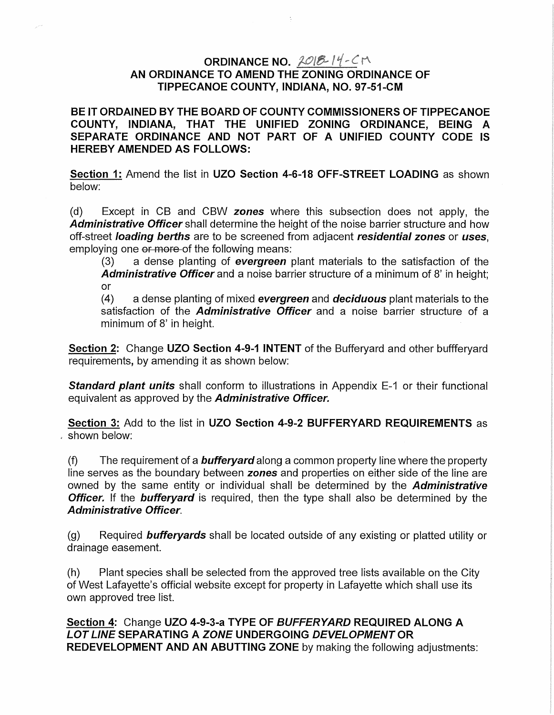## ORDINANCE NO.  $2018 - 14 - C$ AN ORDINANCE TO AMEND THE ZONING ORDINANCE OF TIPPECANOE COUNTY, INDIANA, NO. 97-51-CM

BE IT ORDAINED BY THE BOARD OF COUNTY COMMISSIONERS OF TIPPECANOE COUNTY, INDIANA, THAT THE UNIFIED ZONING ORDINANCE, BEING A SEPARATE ORDINANCE AND NOT PART OF A UNIFIED COUNTY CODE IS HEREBY AMENDED AS FOLLOWS:

Section 1: Amend the list in UZO Section 4-6-18 OFF-STREET LOADING as shown below:

(d) Except in CB and CBW zones where this subsection does not apply, the Administrative Officer shall determine the height of the noise barrier structure and how off-street *loading berths* are to be screened from adjacent *residential zones* or *uses*, employing one or more of the following means:

(3) a dense planting of evergreen plant materials to the satisfaction of the Administrative Officer and a noise barrier structure of a minimum of 8' in height: or

 $(4)$  a dense planting of mixed evergreen and deciduous plant materials to the satisfaction of the *Administrative Officer* and a noise barrier structure of a minimum of 8' in height.

Section 2: Change UZO Section 4-9-1 INTENT of the Bufferyard and other buffferyard requirements, by amending it as shown below:

**Standard plant units** shall conform to illustrations in Appendix E-1 or their functional equivalent as approved by the **Administrative Officer.** 

Section 3: Add to the list in UZO Section 4-9-2 BUFFERYARD REQUIREMENTS as . shown below:

(f) The requirement of a **bufferyard** along a common property line where the property line serves as the boundary between zones and properties on either side of the line are owned by the same entity or individual shall be determined by the Administrative **Officer.** If the **bufferyard** is required, then the type shall also be determined by the Administrative Officer.

(g) Required **bufferyards** shall be located outside of any existing or platted utility or drainage easement.

(h) Plant species shall be selected from the approved tree lists available on the City of West Lafayette's official website except for property in Lafayette which shall use its own approved tree list.

Section 4: Change UZO 4-9-3-a TYPE OF BUFFERYARD REQUIRED ALONG A LOT LINE SEPARATING A ZONE UNDERGOING DEVELOPMENT OR REDEVELOPMENT AND AN ABUTTING ZONE by making the following adjustments: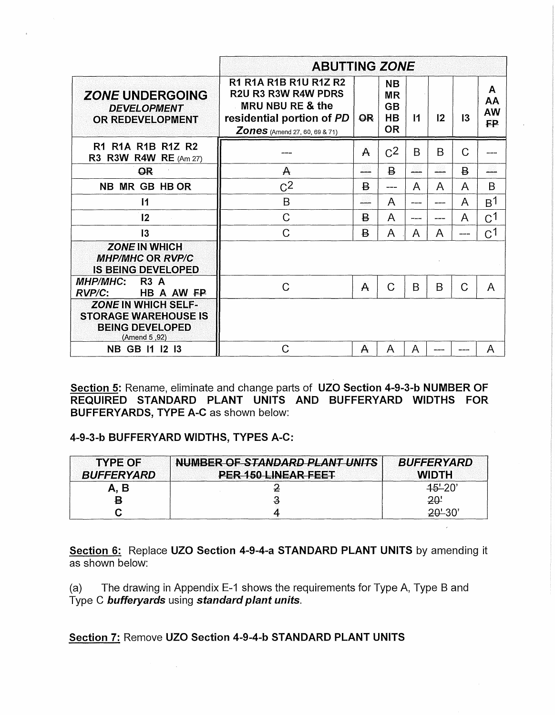|                                                                                                     | <b>ABUTTING ZONE</b>                                                                                                                         |                |                                                               |              |         |                |                                   |
|-----------------------------------------------------------------------------------------------------|----------------------------------------------------------------------------------------------------------------------------------------------|----------------|---------------------------------------------------------------|--------------|---------|----------------|-----------------------------------|
| <b>ZONE UNDERGOING</b><br><b>DEVELOPMENT</b><br><b>OR REDEVELOPMENT</b>                             | <b>R1 R1A R1B R1U R1Z R2</b><br>R2U R3 R3W R4W PDRS<br>MRU NBU RE & the<br>residential portion of PD<br><b>Zones</b> (Amend 27, 60, 69 & 71) | <b>OR</b>      | <b>NB</b><br><b>MR</b><br><b>GB</b><br><b>HB</b><br><b>OR</b> | $\mathsf{I}$ | $12 \,$ | 13             | A<br>AΑ<br><b>AW</b><br><b>FP</b> |
| R1 R1A R1B R1Z R2<br><b>R3 R3W R4W RE</b> (Am 27)                                                   |                                                                                                                                              | A              | C <sup>2</sup>                                                | B            | B       | C              |                                   |
| OR                                                                                                  | A                                                                                                                                            | ببيب           | B                                                             |              |         | $\overline{B}$ |                                   |
| NB MR GB HB OR                                                                                      | C <sup>2</sup>                                                                                                                               | $\overline{B}$ | ----                                                          | A            | A       | A              | B                                 |
| $\mathbf{I}$                                                                                        | B                                                                                                                                            | ----           | A                                                             | ----         | ----    | A              | B <sup>1</sup>                    |
| 12                                                                                                  | $\mathcal{C}$                                                                                                                                | $\overline{B}$ | A                                                             | ----         |         | A              | C <sup>1</sup>                    |
| 13                                                                                                  | $\mathcal{C}$                                                                                                                                | B              | A                                                             | A            | A       | ----           | $C^1$                             |
| <b>ZONE IN WHICH</b><br><b>MHP/MHC OR RVP/C</b><br><b>IS BEING DEVELOPED</b>                        |                                                                                                                                              |                |                                                               |              |         |                |                                   |
| <b>MHP/MHC:</b><br><b>R3 A</b><br>HB A AW FP<br>$RVP/C$ :                                           | $\mathcal{C}$                                                                                                                                | $\mathsf{A}$   | $\mathcal{C}$                                                 | B            | B       | Ć              | A                                 |
| <b>ZONE IN WHICH SELF-</b><br><b>STORAGE WAREHOUSE IS</b><br><b>BEING DEVELOPED</b><br>(Amend 5,92) |                                                                                                                                              |                |                                                               |              |         |                |                                   |
| NB GB 11 12 13                                                                                      | C                                                                                                                                            | A              | A                                                             | A            |         |                | A                                 |

Section 5: Rename, eliminate and change parts of UZO Section 4-9-3-b NUMBER OF REQUIRED STANDARD PLANT UNITS AND BUFFERYARD WIDTHS FOR BUFFERYARDS, TYPE A-C as shown below:

#### 4-9-3-b BUFFERYARD WIDTHS, TYPES A-C:

| <b>TYPE OF</b><br><b>BUFFERYARD</b> | NUMBER OF STANDARD PLANT UNITS<br>PER 150 LINEAR FEET | <b>BUFFERYARD</b><br><b>WIDTH</b> |
|-------------------------------------|-------------------------------------------------------|-----------------------------------|
| A, B                                |                                                       | $45 - 20'$                        |
| 8                                   |                                                       | 20'                               |
|                                     |                                                       |                                   |

Section 6: Replace UZO Section 4-9-4-a STANDARD PLANT UNITS by amending it as shown below:

(a) The drawing in Appendix E-1 shows the requirements for Type A, Type B and Type C bufferyards using standard plant units.

#### Section 7: Remove UZO Section 4-9-4-b STANDARD PLANT UNITS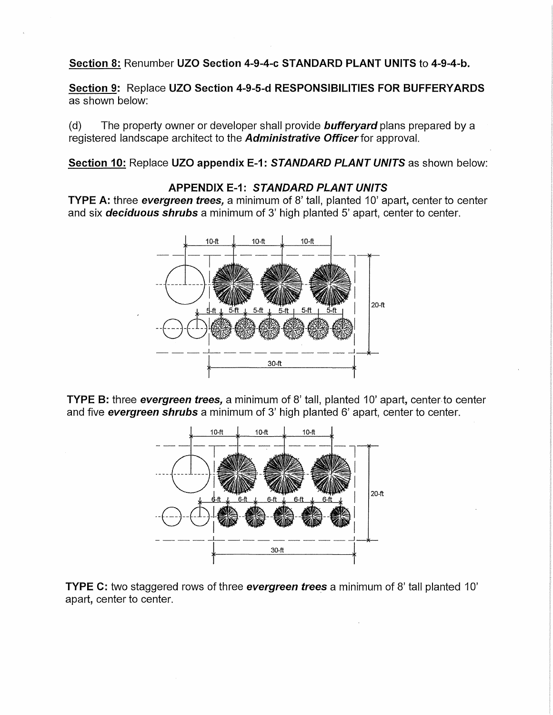## **Section 8:** Renumber **UZO Section 4-9-4-c STANDARD PLANT UNITS to 4-9-4-b.**

**Section 9:** Replace **UZO Section 4-9-5-d RESPONSIBILITIES FOR BUFFERYARDS**  as shown below:

(d) The property owner or developer shall provide **bufferyard** plans prepared by a registered landscape architect to the **Administrative Officer** for approval.

**Section 10:** Replace **UZO appendix E-1: STANDARD PLANT UNITS** as shown below:

## **APPENDIX E-1: STANDARD PLANT UNITS**

**TYPE A:** three **evergreen trees**, a minimum of 8' tall, planted 10' apart, center to center and six **deciduous shrubs** a minimum of 3' high planted 5' apart, center to center.



**TYPE B:** three **evergreen trees**, a minimum of 8' tall, planted 10' apart, center to center and five **evergreen shrubs** a minimum of 3' high planted 6' apart, center to center.